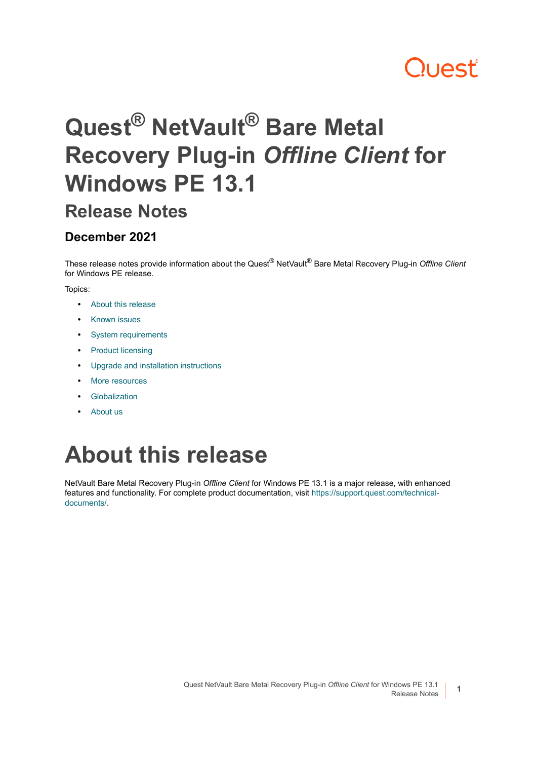### **Quest**

## **Quest® NetVault® Bare Metal Recovery Plug-in** *Offline Client* **for Windows PE 13.1**

#### **Release Notes**

#### **December 2021**

These release notes provide information about the Quest® NetVault® Bare Metal Recovery Plug-in *Offline Client* for Windows PE release.

#### Topics:

- **•** [About this release](#page-0-0)
- **•** [Known issues](#page-1-2)
- **•** [System requirements](#page-1-0)
- **•** [Product licensing](#page-1-1)
- **•** [Upgrade and installation instructions](#page-2-0)
- **•** [More resources](#page-2-1)
- **•** [Globalization](#page-2-2)
- **•** [About us](#page-3-0)

### <span id="page-0-0"></span>**About this release**

NetVault Bare Metal Recovery Plug-in *Offline Client* for Windows PE 13.1 is a major release, with enhanced features and functionality. For complete product documentation, visit [https://support.quest.com/technical](https://support.quest.com/technical-documents/)[documents/](https://support.quest.com/technical-documents/).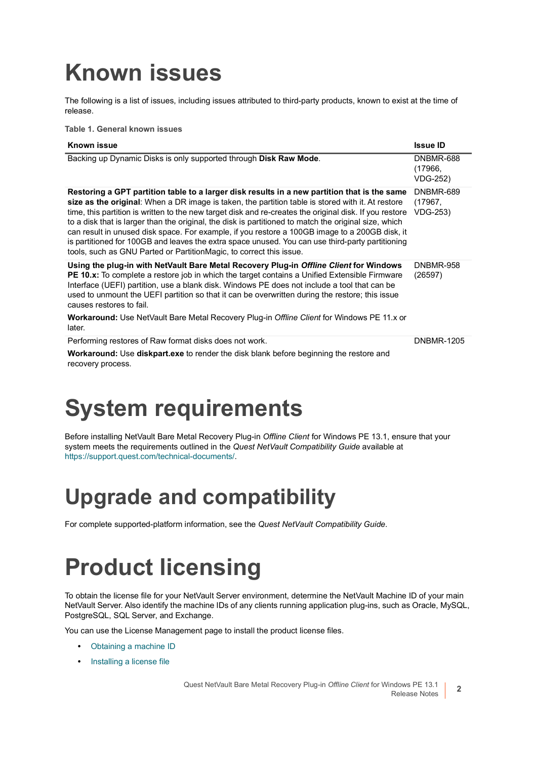### <span id="page-1-2"></span>**Known issues**

The following is a list of issues, including issues attributed to third-party products, known to exist at the time of release.

**Table 1. General known issues**

| Known issue                                                                                                                                                                                                                                                                                                                                                                                                                                                                                                                                                                                                                                                                                        | <b>Issue ID</b>                         |
|----------------------------------------------------------------------------------------------------------------------------------------------------------------------------------------------------------------------------------------------------------------------------------------------------------------------------------------------------------------------------------------------------------------------------------------------------------------------------------------------------------------------------------------------------------------------------------------------------------------------------------------------------------------------------------------------------|-----------------------------------------|
| Backing up Dynamic Disks is only supported through Disk Raw Mode.                                                                                                                                                                                                                                                                                                                                                                                                                                                                                                                                                                                                                                  | <b>DNBMR-688</b><br>(17966,<br>VDG-252) |
| Restoring a GPT partition table to a larger disk results in a new partition that is the same<br>size as the original: When a DR image is taken, the partition table is stored with it. At restore<br>time, this partition is written to the new target disk and re-creates the original disk. If you restore<br>to a disk that is larger than the original, the disk is partitioned to match the original size, which<br>can result in unused disk space. For example, if you restore a 100GB image to a 200GB disk, it<br>is partitioned for 100GB and leaves the extra space unused. You can use third-party partitioning<br>tools, such as GNU Parted or PartitionMagic, to correct this issue. | DNBMR-689<br>(17967,<br>VDG-253)        |
| Using the plug-in with NetVault Bare Metal Recovery Plug-in Offline Client for Windows<br><b>PE 10.x:</b> To complete a restore job in which the target contains a Unified Extensible Firmware<br>Interface (UEFI) partition, use a blank disk. Windows PE does not include a tool that can be<br>used to unmount the UEFI partition so that it can be overwritten during the restore; this issue<br>causes restores to fail.<br><b>Workaround:</b> Use NetVault Bare Metal Recovery Plug-in Offline Client for Windows PE 11.x or                                                                                                                                                                 | <b>DNBMR-958</b><br>(26597)             |
| later.                                                                                                                                                                                                                                                                                                                                                                                                                                                                                                                                                                                                                                                                                             |                                         |
| Performing restores of Raw format disks does not work.                                                                                                                                                                                                                                                                                                                                                                                                                                                                                                                                                                                                                                             | <b>DNBMR-1205</b>                       |
| <b>Workaround:</b> Use <b>diskpart.exe</b> to render the disk blank before beginning the restore and<br>recovery process.                                                                                                                                                                                                                                                                                                                                                                                                                                                                                                                                                                          |                                         |

### <span id="page-1-0"></span>**System requirements**

Before installing NetVault Bare Metal Recovery Plug-in *Offline Client* for Windows PE 13.1, ensure that your system meets the requirements outlined in the *Quest NetVault Compatibility Guide* available at <https://support.quest.com/technical-documents/>.

#### **Upgrade and compatibility**

For complete supported-platform information, see the *Quest NetVault Compatibility Guide*.

### <span id="page-1-1"></span>**Product licensing**

To obtain the license file for your NetVault Server environment, determine the NetVault Machine ID of your main NetVault Server. Also identify the machine IDs of any clients running application plug-ins, such as Oracle, MySQL, PostgreSQL, SQL Server, and Exchange.

You can use the License Management page to install the product license files.

- **•** [Obtaining a machine ID](#page-2-3)
- **•** [Installing a license file](#page-2-4)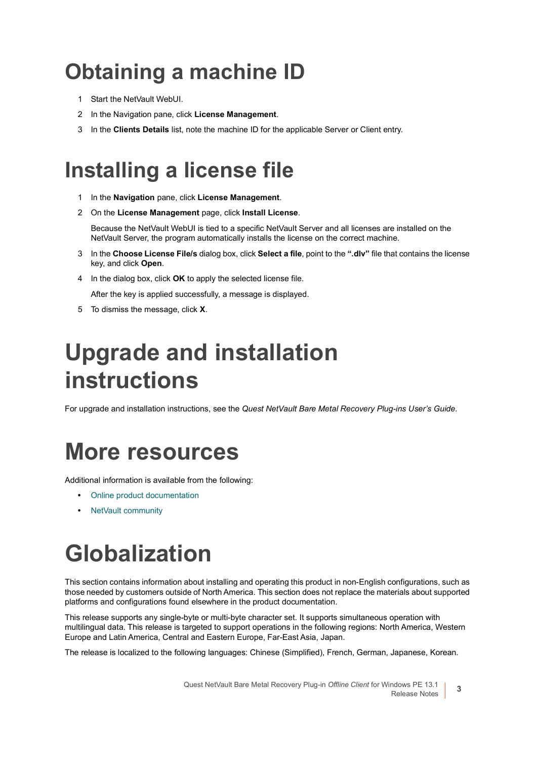#### <span id="page-2-3"></span>**Obtaining a machine ID**

- 1 Start the NetVault WebUI.
- 2 In the Navigation pane, click **License Management**.
- 3 In the **Clients Details** list, note the machine ID for the applicable Server or Client entry.

#### <span id="page-2-4"></span>**Installing a license file**

- 1 In the **Navigation** pane, click **License Management**.
- 2 On the **License Management** page, click **Install License**.

Because the NetVault WebUI is tied to a specific NetVault Server and all licenses are installed on the NetVault Server, the program automatically installs the license on the correct machine.

- 3 In the **Choose License File/s** dialog box, click **Select a file**, point to the **".dlv"** file that contains the license key, and click **Open**.
- 4 In the dialog box, click **OK** to apply the selected license file.

After the key is applied successfully, a message is displayed.

5 To dismiss the message, click **X**.

### <span id="page-2-0"></span>**Upgrade and installation instructions**

For upgrade and installation instructions, see the *Quest NetVault Bare Metal Recovery Plug-ins User's Guide*.

#### <span id="page-2-1"></span>**More resources**

Additional information is available from the following:

- **•** [Online product documentation](https://support.quest.com/technical-documents/)
- **•** [NetVault community](https://www.quest.com/community/products/netvault/)

# <span id="page-2-2"></span>**Globalization**

This section contains information about installing and operating this product in non-English configurations, such as those needed by customers outside of North America. This section does not replace the materials about supported platforms and configurations found elsewhere in the product documentation.

This release supports any single-byte or multi-byte character set. It supports simultaneous operation with multilingual data. This release is targeted to support operations in the following regions: North America, Western Europe and Latin America, Central and Eastern Europe, Far-East Asia, Japan.

The release is localized to the following languages: Chinese (Simplified), French, German, Japanese, Korean.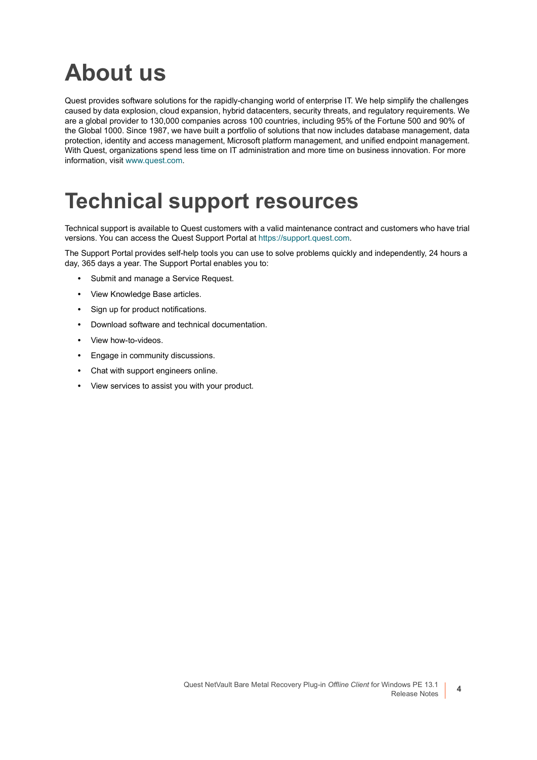#### <span id="page-3-0"></span>**About us**

Quest provides software solutions for the rapidly-changing world of enterprise IT. We help simplify the challenges caused by data explosion, cloud expansion, hybrid datacenters, security threats, and regulatory requirements. We are a global provider to 130,000 companies across 100 countries, including 95% of the Fortune 500 and 90% of the Global 1000. Since 1987, we have built a portfolio of solutions that now includes database management, data protection, identity and access management, Microsoft platform management, and unified endpoint management. With Quest, organizations spend less time on IT administration and more time on business innovation. For more information, visit [www.quest.com](https://www.quest.com/company/contact-us.aspx).

#### **Technical support resources**

Technical support is available to Quest customers with a valid maintenance contract and customers who have trial versions. You can access the Quest Support Portal at [https://support.quest.com.](https://support.quest.com)

The Support Portal provides self-help tools you can use to solve problems quickly and independently, 24 hours a day, 365 days a year. The Support Portal enables you to:

- **•** Submit and manage a Service Request.
- **•** View Knowledge Base articles.
- **•** Sign up for product notifications.
- **•** Download software and technical documentation.
- **•** View how-to-videos.
- **•** Engage in community discussions.
- **•** Chat with support engineers online.
- **•** View services to assist you with your product.